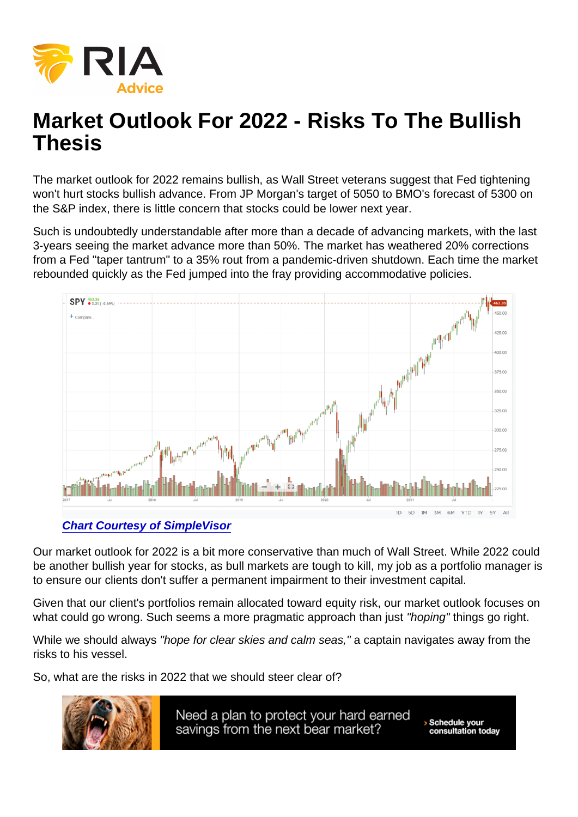# Market Outlook For 2022 - Risks To The Bullish Thesis

The market outlook for 2022 remains bullish, as Wall Street veterans suggest that Fed tightening won't hurt stocks bullish advance. From JP Morgan's target of 5050 to BMO's forecast of 5300 on the S&P index, there is little concern that stocks could be lower next year.

Such is undoubtedly understandable after more than a decade of advancing markets, with the last 3-years seeing the market advance more than 50%. The market has weathered 20% corrections from a Fed "taper tantrum" to a 35% rout from a pandemic-driven shutdown. Each time the market rebounded quickly as the Fed jumped into the fray providing accommodative policies.

#### [Chart Courtesy of SimpleVisor](https://simplevisor.com)

Our market outlook for 2022 is a bit more conservative than much of Wall Street. While 2022 could be another bullish year for stocks, as bull markets are tough to kill, my job as a portfolio manager is to ensure our clients don't suffer a permanent impairment to their investment capital.

Given that our client's portfolios remain allocated toward equity risk, our market outlook focuses on what could go wrong. Such seems a more pragmatic approach than just "hoping" things go right.

While we should always "hope for clear skies and calm seas," a captain navigates away from the risks to his vessel.

So, what are the risks in 2022 that we should steer clear of?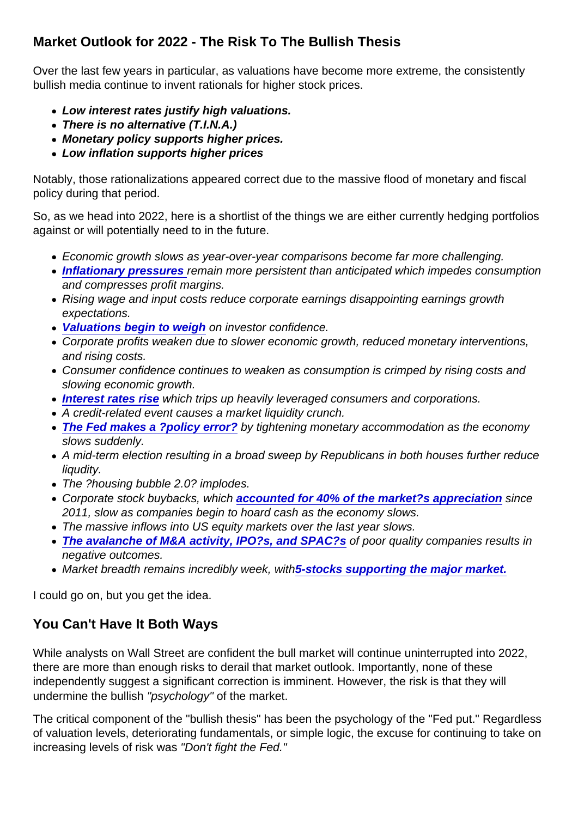## Market Outlook for 2022 - The Risk To The Bullish Thesis

Over the last few years in particular, as valuations have become more extreme, the consistently bullish media continue to invent rationals for higher stock prices.

- Low interest rates justify high valuations.
- There is no alternative (T.I.N.A.)
- Monetary policy supports higher prices.
- Low inflation supports higher prices

Notably, those rationalizations appeared correct due to the massive flood of monetary and fiscal policy during that period.

So, as we head into 2022, here is a shortlist of the things we are either currently hedging portfolios against or will potentially need to in the future.

- Economic growth slows as year-over-year comparisons become far more challenging.
- [Inflationary pressures r](https://realinvestmentadvice.com/historical-inflation-shows-deflation-still-a-threat/)emain more persistent than anticipated which impedes consumption and compresses profit margins.
- Rising wage and input costs reduce corporate earnings disappointing earnings growth expectations.
- [Valuations begin to weigh](https://realinvestmentadvice.com/is-a-stock-market-crash-like-2000-possible) on investor confidence.
- Corporate profits weaken due to slower economic growth, reduced monetary interventions, and rising costs.
- Consumer confidence continues to weaken as consumption is crimped by rising costs and slowing economic growth.
- [Interest rates rise](https://realinvestmentadvice.com/rising-interest-rates-matter-to-the-stock-market/) which trips up heavily leveraged consumers and corporations.
- A credit-related event causes a market liquidity crunch.
- [The Fed makes a ?policy error?](https://realinvestmentadvice.com/could-the-fed-trigger-the-next-financial-crisis/) by tightening monetary accommodation as the economy slows suddenly.
- A mid-term election resulting in a broad sweep by Republicans in both houses further reduce liqudity.
- The ?housing bubble 2.0? implodes.
- Corporate stock buybacks, which [accounted for 40% of the market?s appreciation](https://realinvestmentadvice.com/40-of-the-bull-market-is-due-soley-to-buybacks/) since 2011, slow as companies begin to hoard cash as the economy slows.
- The massive inflows into US equity markets over the last year slows.
- [The avalanche of M&A activity, IPO?s, and SPAC?s](https://realinvestmentadvice.com/charting-the-stock-market-melt-up-the-feds-naivety/) of poor quality companies results in negative outcomes.
- Market breadth remains incredibly week, wit[h5-stocks supporting the major market.](https://realinvestmentadvice.com/wipe-out-below-the-calm-surface-of-the-bull-market/)

I could go on, but you get the idea.

### You Can't Have It Both Ways

While analysts on Wall Street are confident the bull market will continue uninterrupted into 2022, there are more than enough risks to derail that market outlook. Importantly, none of these independently suggest a significant correction is imminent. However, the risk is that they will undermine the bullish "psychology" of the market.

The critical component of the "bullish thesis" has been the psychology of the "Fed put." Regardless of valuation levels, deteriorating fundamentals, or simple logic, the excuse for continuing to take on increasing levels of risk was "Don't fight the Fed."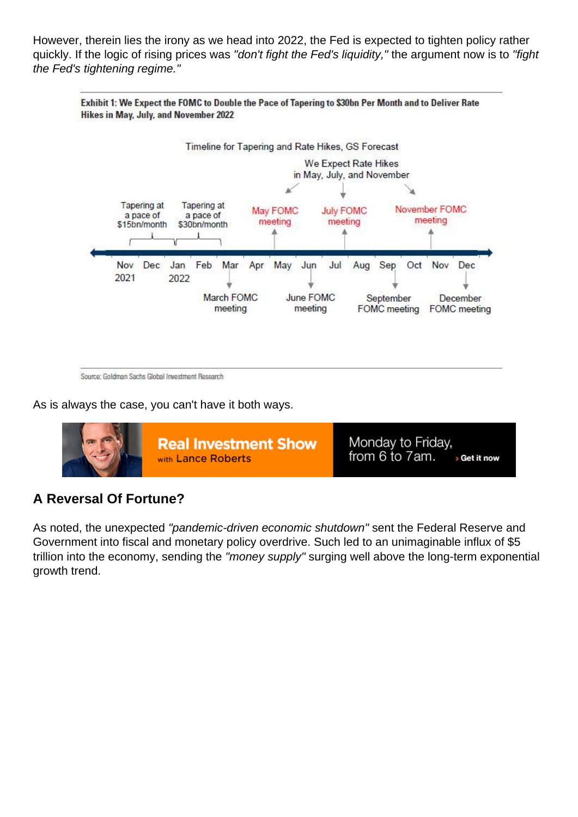However, therein lies the irony as we head into 2022, the Fed is expected to tighten policy rather quickly. If the logic of rising prices was "don't fight the Fed's liquidity," the argument now is to "fight the Fed's tightening regime."

As is always the case, you can't have it both ways.

### A Reversal Of Fortune?

As noted, the unexpected "pandemic-driven economic shutdown" sent the Federal Reserve and Government into fiscal and monetary policy overdrive. Such led to an unimaginable influx of \$5 trillion into the economy, sending the "money supply" surging well above the long-term exponential growth trend.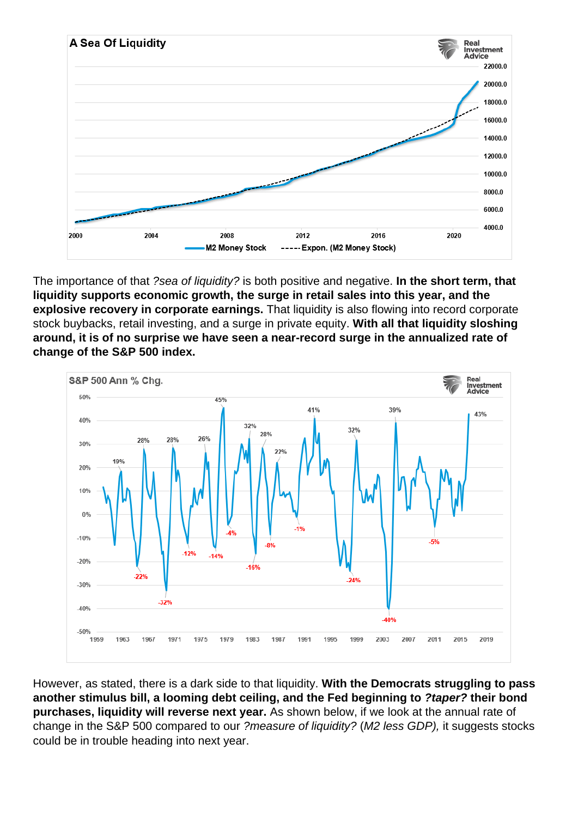The importance of that ?sea of liquidity? is both positive and negative. In the short term, that liquidity supports economic growth, the surge in retail sales into this year, and the explosive recovery in corporate earnings. That liquidity is also flowing into record corporate stock buybacks, retail investing, and a surge in private equity. With all that liquidity sloshing around, it is of no surprise we have seen a near-record surge in the annualized rate of change of the S&P 500 index.

However, as stated, there is a dark side to that liquidity. With the Democrats struggling to pass another stimulus bill, a looming debt ceiling, and the Fed beginning to ?taper? their bond<br>purchases, liquidity will reverse next year. As shown below, if we look at the annual rate of As shown below, if we look at the annual rate of change in the S&P 500 compared to our ?measure of liquidity? (M2 less GDP), it suggests stocks could be in trouble heading into next year.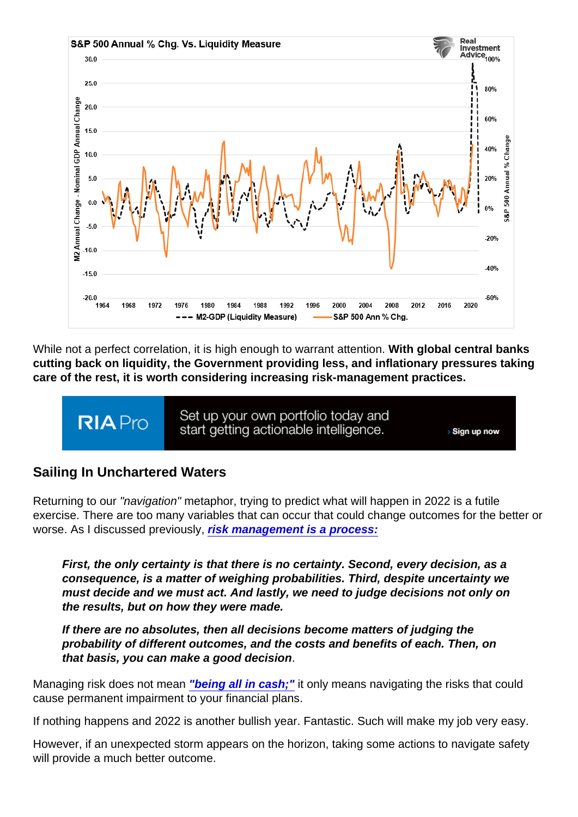While not a perfect correlation, it is high enough to warrant attention. With global central banks cutting back on liquidity, the Government providing less, and inflationary pressures taking care of the rest, it is worth considering increasing risk-management practices.

### Sailing In Unchartered Waters

Returning to our "navigation" metaphor, trying to predict what will happen in 2022 is a futile exercise. There are too many variables that can occur that could change outcomes for the better or worse. As I discussed previously, [risk management is a process:](https://realinvestmentadvice.com/market-predictions-for-2022-two-opposing-views/)

First, the only certainty is that there is no certainty. Second, every decision, as a consequence, is a matter of weighing probabilities. Third, despite uncertainty we must decide and we must act. And lastly, we need to judge decisions not only on the results, but on how they were made.

If there are no absolutes, then all decisions become matters of judging the probability of different outcomes, and the costs and benefits of each. Then, on that basis, you can make a good decision .

Managing risk does not mean ["being all in cash;"](https://realinvestmentadvice.com/going-to-cash-can-be-as-costly-as-a-market-crash/) it only means navigating the risks that could cause permanent impairment to your financial plans.

If nothing happens and 2022 is another bullish year. Fantastic. Such will make my job very easy.

However, if an unexpected storm appears on the horizon, taking some actions to navigate safety will provide a much better outcome.